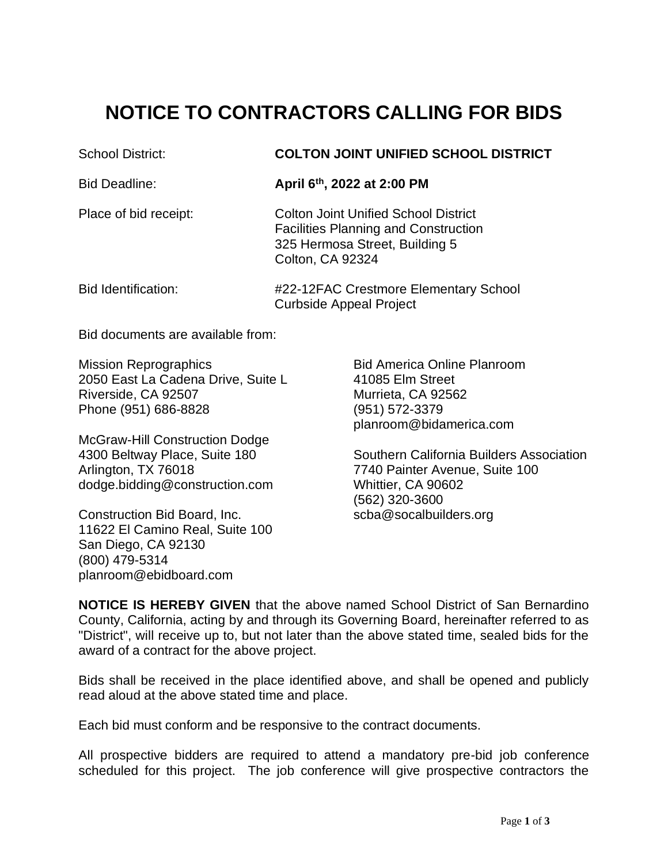## **NOTICE TO CONTRACTORS CALLING FOR BIDS**

## School District: **COLTON JOINT UNIFIED SCHOOL DISTRICT**

Bid Deadline: **April 6th, 2022 at 2:00 PM**

Place of bid receipt: Colton Joint Unified School District Facilities Planning and Construction 325 Hermosa Street, Building 5 Colton, CA 92324

## Bid Identification: #22-12FAC Crestmore Elementary School Curbside Appeal Project

Bid documents are available from:

Mission Reprographics The Control Bid America Online Planroom 2050 East La Cadena Drive, Suite L 41085 Elm Street Riverside, CA 92507 Murrieta, CA 92562 Phone (951) 686-8828 (951) 572-3379

McGraw-Hill Construction Dodge Arlington, TX 76018 7740 Painter Avenue, Suite 100 dodge.bidding@construction.com Whittier, CA 90602

Construction Bid Board, Inc. Scba@socalbuilders.org 11622 El Camino Real, Suite 100 San Diego, CA 92130 (800) 479-5314 planroom@ebidboard.com

planroom@bidamerica.com

4300 Beltway Place, Suite 180 Southern California Builders Association (562) 320-3600

**NOTICE IS HEREBY GIVEN** that the above named School District of San Bernardino County, California, acting by and through its Governing Board, hereinafter referred to as "District", will receive up to, but not later than the above stated time, sealed bids for the award of a contract for the above project.

Bids shall be received in the place identified above, and shall be opened and publicly read aloud at the above stated time and place.

Each bid must conform and be responsive to the contract documents.

All prospective bidders are required to attend a mandatory pre-bid job conference scheduled for this project. The job conference will give prospective contractors the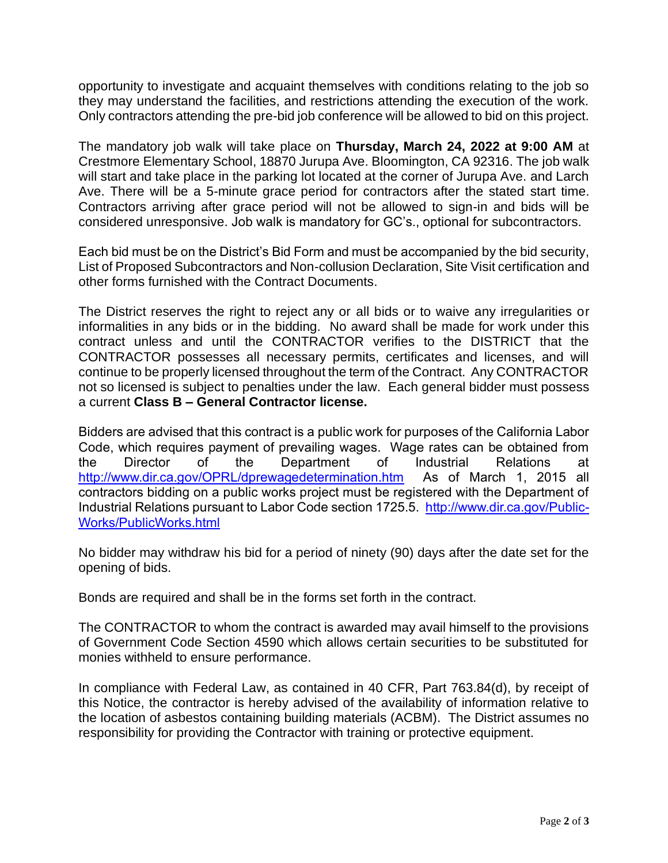opportunity to investigate and acquaint themselves with conditions relating to the job so they may understand the facilities, and restrictions attending the execution of the work. Only contractors attending the pre-bid job conference will be allowed to bid on this project.

The mandatory job walk will take place on **Thursday, March 24, 2022 at 9:00 AM** at Crestmore Elementary School, 18870 Jurupa Ave. Bloomington, CA 92316. The job walk will start and take place in the parking lot located at the corner of Jurupa Ave. and Larch Ave. There will be a 5-minute grace period for contractors after the stated start time. Contractors arriving after grace period will not be allowed to sign-in and bids will be considered unresponsive. Job walk is mandatory for GC's., optional for subcontractors.

Each bid must be on the District's Bid Form and must be accompanied by the bid security, List of Proposed Subcontractors and Non-collusion Declaration, Site Visit certification and other forms furnished with the Contract Documents.

The District reserves the right to reject any or all bids or to waive any irregularities or informalities in any bids or in the bidding. No award shall be made for work under this contract unless and until the CONTRACTOR verifies to the DISTRICT that the CONTRACTOR possesses all necessary permits, certificates and licenses, and will continue to be properly licensed throughout the term of the Contract. Any CONTRACTOR not so licensed is subject to penalties under the law. Each general bidder must possess a current **Class B – General Contractor license.**

Bidders are advised that this contract is a public work for purposes of the California Labor Code, which requires payment of prevailing wages. Wage rates can be obtained from the Director of the Department of Industrial Relations at <http://www.dir.ca.gov/OPRL/dprewagedetermination.htm>As of March 1, 2015 all contractors bidding on a public works project must be registered with the Department of Industrial Relations pursuant to Labor Code section 1725.5. [http://www.dir.ca.gov/Public-](http://www.dir.ca.gov/Public-Works/PublicWorks.html)[Works/PublicWorks.html](http://www.dir.ca.gov/Public-Works/PublicWorks.html)

No bidder may withdraw his bid for a period of ninety (90) days after the date set for the opening of bids.

Bonds are required and shall be in the forms set forth in the contract.

The CONTRACTOR to whom the contract is awarded may avail himself to the provisions of Government Code Section 4590 which allows certain securities to be substituted for monies withheld to ensure performance.

In compliance with Federal Law, as contained in 40 CFR, Part 763.84(d), by receipt of this Notice, the contractor is hereby advised of the availability of information relative to the location of asbestos containing building materials (ACBM). The District assumes no responsibility for providing the Contractor with training or protective equipment.